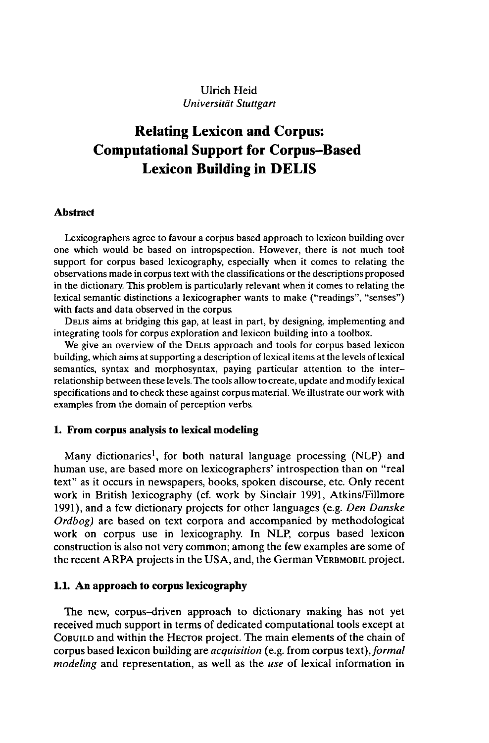# Ulrich Heid *Universität Stuttgart*

# **Relating Lexicon and Corpus: Computational Support for Corpus-Based Lexicon Building in DELIS**

### **Abstract**

Lexicographers agree to favour a corpus based approach to lexicon building over one which would be based on intropspection. However, there is not much tool support for corpus based lexicography, especially when it comes to relating the observations made in corpus text with the classifications or the descriptions proposed in the dictionary. This problem is particularly relevant when it comes to relating the lexical semantic distinctions a lexicographer wants to make ("readings", "senses") with facts and data observed in the corpus.

DELIS aims at bridging this gap, at least in part, by designing, implementing and integrating tools for corpus exploration and lexicon building into a toolbox.

We give an overview of the DELIS approach and tools for corpus based lexicon building, which aims at supporting a description of lexical items at the levels of lexical semantics, syntax and morphosyntax, paying particular attention to the interrelationship between these levels. The tools allow to create, update and modify lexical specifications and to check these against corpus material. We illustrate our work with examples from the domain of perception verbs.

### **1. From corpus analysis to lexical modeling**

Many dictionaries<sup>1</sup>, for both natural language processing (NLP) and human use, are based more on lexicographers' introspection than on "real text" as it occurs in newspapers, books, spoken discourse, etc. Only recent work in British lexicography (cf. work by Sinclair 1991, Atkins/Fillmore 1991), and a few dictionary projects for other languages (e.g. *Den Danske Ordbog)* are based on text corpora and accompanied by methodological work on corpus use in lexicography. In NLP, corpus based lexicon construction is also not very common; among the few examples are some of the recent ARPA projects in the USA, and, the German VERBMOBIL project.

#### **1.1. An approach to corpus lexicography**

The new, corpus-driven approach to dictionary making has not yet received much support in terms of dedicated computational tools except at COBUILD and within the HECTOR project. The main elements of the chain of corpus based lexicon building are *acquisition* (e.g. from corpus text),*formal modeling* and representation, as well as the *use* of lexical information in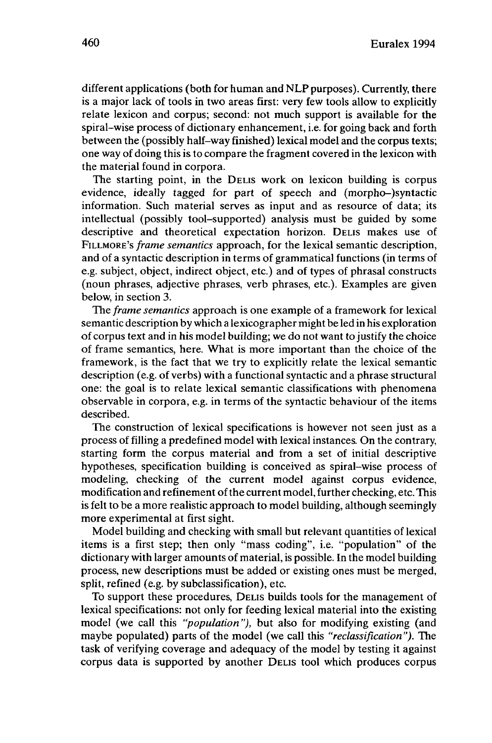different applications (both for human and NLP purposes). Currently, there is a major lack of tools in two areas first: very few tools allow to explicitly relate lexicon and corpus; second: not much support is available for the spiral-wise process of dictionary enhancement, i.e. for going back and forth between the (possibly half-way finished) lexical model and the corpus texts; one way of doing this is to compare the fragment covered in the lexicon with the material found in corpora.

The starting point, in the DELIS work on lexicon building is corpus evidence, ideally tagged for part of speech and (morpho-)syntactic information. Such material serves as input and as resource of data; its intellectual (possibly tool-supported) analysis must be guided by some descriptive and theoretical expectation horizon. DELIS makes use of FILLMORE'S *frame semantics* approach, for the lexical semantic description, and of a syntactic description in terms of grammatical functions (in terms of e.g. subject, object, indirect object, etc.) and of types of phrasal constructs (noun phrases, adjective phrases, verb phrases, etc.). Examples are given below, in section 3.

The *frame semantics* approach is one example of a framework for lexical semantic description by which a lexicographer might be led in his exploration of corpus text and in his model building; we do not wantto justify the choice of frame semantics, here. What is more important than the choice of the framework, is the fact that we try to explicitly relate the lexical semantic description (e.g. of verbs) with a functional syntactic and a phrase structural one: the goal is to relate lexical semantic classifications with phenomena observable in corpora, e.g. in terms of the syntactic behaviour of the items described.

The construction of lexical specifications is however not seen just as a process of filling a predefined model with lexical instances. On the contrary, starting form the corpus material and from a set of initial descriptive hypotheses, specification building is conceived as spiral-wise process of modeling, checking of the current model against corpus evidence, modification and refinement ofthe current model, further checking, etc. This is felt to be a more realistic approach to model building, although seemingly more experimental at first sight.

Model building and checking with small but relevant quantities of lexical items is a first step; then only "mass coding", i.e. "population" of the dictionary with larger amounts of material, is possible. In the model building process, new descriptions must be added or existing ones must be merged, split, refined (e.g. by subclassification), etc.

To support these procedures, DELIS builds tools for the management of lexical specifications: not only for feeding lexical material into the existing model (we call this *"population"),* but also for modifying existing (and maybe populated) parts of the model (we call this *"reclassification").* The task of verifying coverage and adequacy of the model by testing it against corpus data is supported by another DELIS tool which produces corpus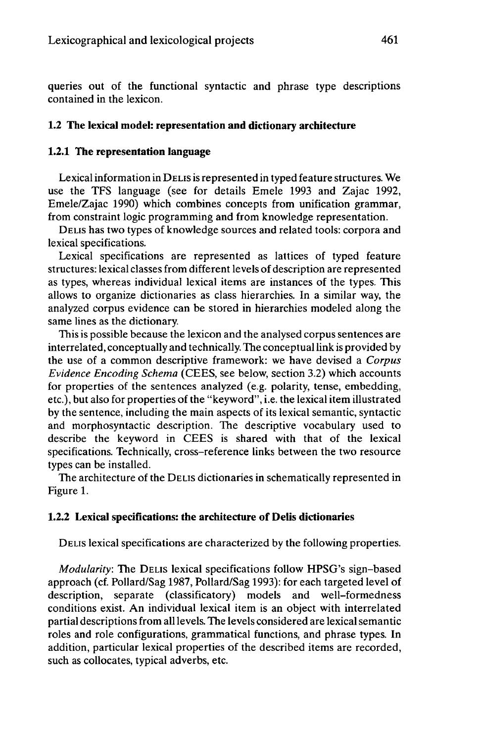queries out of the functional syntactic and phrase type descriptions contained in the lexicon.

# **1.2 The lexical model: representation and dictionary architecture**

## **1.2.1 The representation language**

Lexical information in DELIS is represented in typed feature structures. We use the TFS language (see for details Emele 1993 and Zajac 1992, Emele/Zajac 1990) which combines concepts from unification grammar, from constraint logic programming and from knowledge representation.

DELIS has two types of knowledge sources and related tools: corpora and lexical specifications.

Lexical specifications are represented as lattices of typed feature structures: lexical classes from different levels of description are represented as types, whereas individual lexical items are instances of the types. This allows to organize dictionaries as class hierarchies. In a similar way, the analyzed corpus evidence can be stored in hierarchies modeled along the same lines as the dictionary.

This is possible because the lexicon and the analysed corpus sentences are interrelated, conceptually and technically. The conceptuallink is provided by the use of a common descriptive framework: we have devised a *Corpus Evidence Encoding Schema* (CEES, see below, section 3.2) which accounts for properties of the sentences analyzed (e.g. polarity, tense, embedding, etc.), but also for properties of the "keyword", i.e. the lexical item illustrated by the sentence, including the main aspects of its lexical semantic, syntactic and morphosyntactic description. The descriptive vocabulary used to describe the keyword in CEES is shared with that of the lexical specifications. Technically, cross-reference links between the two resource types can be installed.

The architecture of the DELIS dictionaries in schematically represented in Figure 1.

# **1.2.2 Lexical specifications: the architecture of Delis dictionaries**

DELIS lexical specifications are characterized by the following properties.

*Modularity:* The DELIS lexical specifications follow HPSG's sign-based approach (cf. Pollard/Sag 1987, Pollard/Sag 1993): for each targeted level of description, separate (classificatory) models and well-formedness conditions exist. An individual lexical item is an object with interrelated partial descriptions from all levels. The levels considered are lexical semantic roles and role configurations, grammatical functions, and phrase types. In addition, particular lexical properties of the described items are recorded, such as collocates, typical adverbs, etc.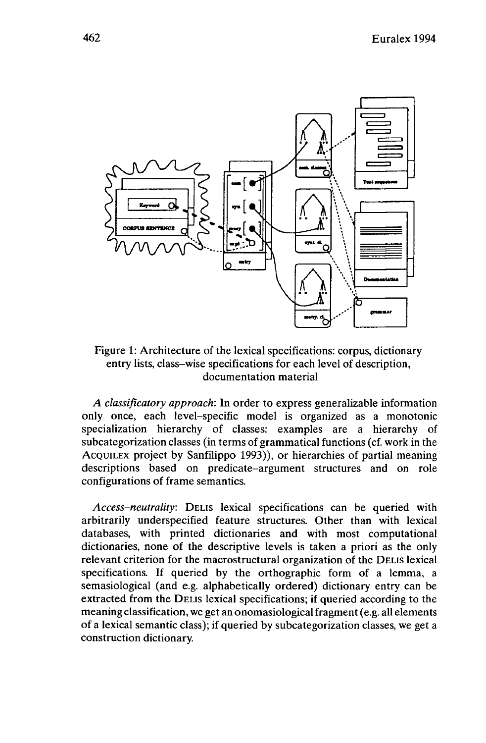

# Figure 1: Architecture of the lexical specifications: corpus, dictionary entry lists, class-wise specifications for each level of description, documentation material

*A classificatory approach:* In order to express generalizable information only once, each level-specific model is organized as a monotonie specialization hierarchy of classes: examples are a hierarchy of subcategorization classes (in terms of grammatical functions (cf. work in the ACQUILEX project by Sanfilippo 1993)), or hierarchies of partial meaning descriptions based on predicate-argument structures and on role configurations of frame semantics.

*Access-neutrality:* DELIS lexical specifications can be queried with arbitrarily underspecified feature structures. Other than with lexical databases, with printed dictionaries and with most computational dictionaries, none of the descriptive levels is taken a priori as the only relevant criterion for the macrostructural organization of the DELIS lexical specifications. If queried by the orthographic form of a lemma, a semasiological (and e.g. alphabetically ordered) dictionary entry can be extracted from the DELIS lexical specifications; if queried according to the meaning classification, we get an onomasiological fragment (e.g. all elements of a lexical semantic class); if queried by subcategorization classes, we get a construction dictionary.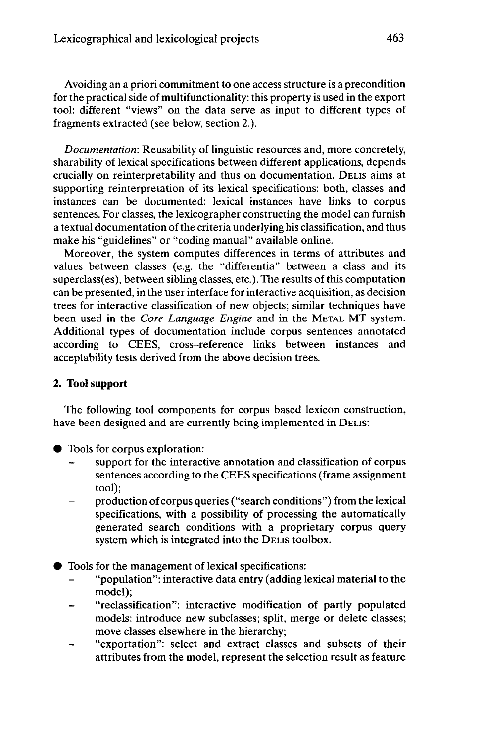Avoiding an a priori commitment to one access structure is a precondition for the practical side of multifunctionality: this property is used in the export tool: different "views" on the data serve as input to different types of fragments extracted (see below, section 2.).

*Documentation:* Reusability of linguistic resources and, more concretely, sharability of lexical specifications between different applications, depends crucially on reinterpretability and thus on documentation. DELIS aims at supporting reinterpretation of its lexical specifications: both, classes and instances can be documented: lexical instances have links to corpus sentences. For classes, the lexicographer constructing the model can furnish a textual documentation of the criteria underlying his classification, and thus make his "guidelines" or "coding manual" available online.

Moreover, the system computes differences in terms of attributes and values between classes (e.g. the "differentia" between a class and its superclass(es), between sibling classes, etc.). The results of this computation can be presented, in the user interface for interactive acquisition, as decision trees for interactive classification of new objects; similar techniques have been used in the *Core Language Engine* and in the METAL MT system. Additional types of documentation include corpus sentences annotated according to CEES, cross-reference links between instances and acceptability tests derived from the above decision trees.

# **2. Tool support**

The following tool components for corpus based lexicon construction, have been designed and are currently being implemented in DELIS:

- **•** Tools for corpus exploration:
	- support for the interactive annotation and classification of corpus sentences according to the CEES specifications (frame assignment tool);
	- production of corpus queries ("search conditions") from the lexical specifications, with a possibility of processing the automatically generated search conditions with a proprietary corpus query system which is integrated into the DELIS toolbox.
- Tools for the management of lexical specifications:
	- "population": interactive data entry (adding lexical material to the model);
	- "reclassification": interactive modification of partly populated models: introduce new subclasses; split, merge or delete classes; move classes elsewhere in the hierarchy;
	- "exportation": select and extract classes and subsets of their attributes from the model, represent the selection result as feature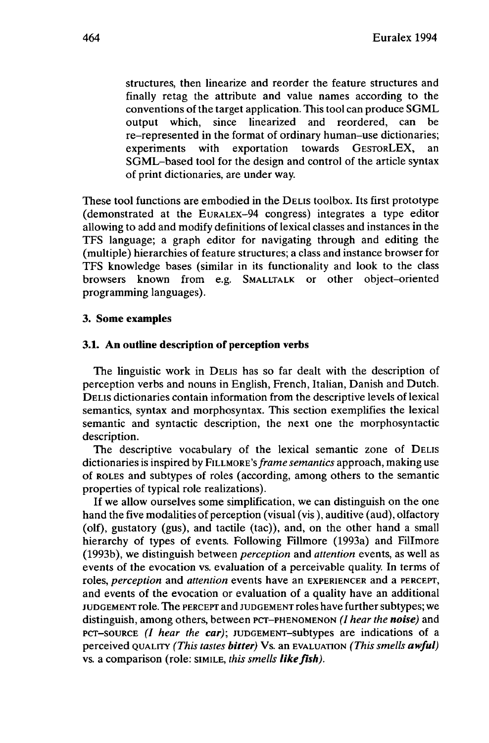structures, then linearize and reorder the feature structures and finally retag the attribute and value names according to the conventions of the target application. This tool can produce SGML output which, since linearized and reordered, can be re-represented in the format of ordinary human-use dictionaries; experiments with exportation towards GESTORLEX, an SGML-based tool for the design and control of the article syntax of print dictionaries, are under way.

These tool functions are embodied in the DELIS toolbox. Its first prototype (demonstrated at the EURALEX-94 congress) integrates a type editor allowing to add and modify definitions of lexical classes and instances in the TFS language; a graph editor for navigating through and editing the (multiple) hierarchies of feature structures; a class and instance browser for TFS knowledge bases (similar in its functionality and look to the class browsers known from e.g. SMALLTALK or other object-oriented programming languages).

### **3. Some examples**

## **3.1. An outline description of perception verbs**

The linguistic work in DELIS has so far dealt with the description of perception verbs and nouns in English, French, Italian, Danish and Dutch. DELIS dictionaries contain information from the descriptive levels of lexical semantics, syntax and morphosyntax. This section exemplifies the lexical semantic and syntactic description, the next one the morphosyntactic description.

The descriptive vocabulary of the lexical semantic zone of DELIS dictionaries is inspired by FILLMORE'S *frame semantics* approach, making use of ROLES and subtypes of roles (according, among others to the semantic properties of typical role realizations).

If we allow ourselves some simplification, we can distinguish on the one hand the five modalities of perception (visual (vis ), auditive (aud), olfactory (olf), gustatory (gus), and tactile (tac)), and, on the other hand a small hierarchy of types of events. Following Fillmore (1993a) and Fillmore (1993b), we distinguish between *perception* and *attention* events, as well as events of the evocation vs. evaluation of a perceivable quality. In terms of roles, *perception* and *attention* events have an EXPERIENCER and a PERCEPT, and events of the evocation or evaluation of a quality have an additional JUDGEMENT role. The PERCEPT and JUDGEMENT roles have further subtypes; we distinguish, among others, between PCT-PHENOMENON *(I hear the noise)* and PCT-SOURCE (/ *hear the car);* JUDGEMENT-subtypes are indications of a perceived QUALITY *(This tastes bitter)* Vs. an EVALUATION *(This smells awful)* vs. a comparison (role: SIMILE, *this smells likefish).*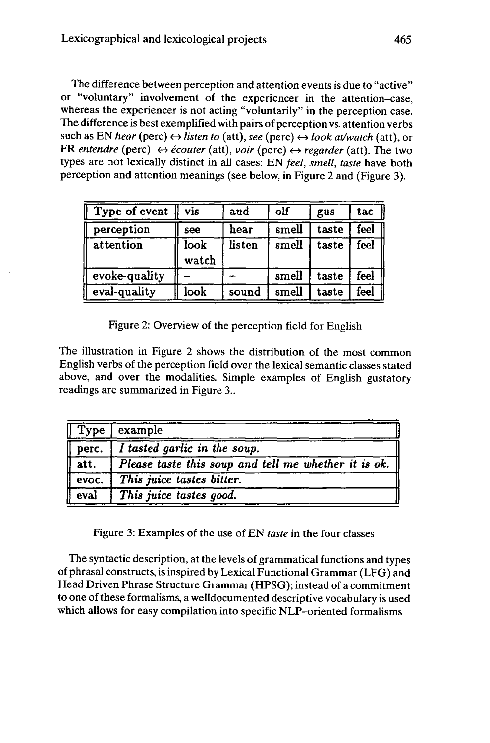The difference between perception and attention events is due to "active" or "voluntary" involvement of the experiencer in the attention-case, whereas the experiencer is not acting "voluntarily" in the perception case. The difference is best exemplified with pairs of perception vs. attention verbs such as EN *hear* (perc)  $\leftrightarrow$  *listen to* (att), *see* (perc)  $\leftrightarrow$  *look at/watch* (att), or FR *entendre* (perc)  $\leftrightarrow$  *écouter* (att), *voir* (perc)  $\leftrightarrow$  *regarder* (att). The two types are not lexically distinct in all cases: EN *feel, smell, taste* have both perception and attention meanings (see below, in Figure 2 and (Figure 3).

| Type of event | vis           | aud    | olf   | gus   | tac  |
|---------------|---------------|--------|-------|-------|------|
| perception    | see           | hear   | smell | taste | feel |
| attention     | look<br>watch | listen | smell | taste | feel |
| evoke-quality |               |        | smell | taste | feel |
| eval-quality  | look          | sound  | smell | taste | feel |

Figure 2: Overview of the perception field for English

The illustration in Figure 2 shows the distribution of the most common English verbs of the perception field over the lexical semantic classes stated above, and over the modalities. Simple examples of English gustatory readings are summarized in Figure 3..

| Type                             | example                                                          |
|----------------------------------|------------------------------------------------------------------|
| $\sqrt{\phantom{a}}$ perc.       | I tasted garlic in the soup.                                     |
| att.                             | Please taste this soup and tell me whether it is ok. $\parallel$ |
| $\sqrt{$ evoc.                   | This juice tastes bitter.                                        |
| $\sqrt{\frac{1}{1-\frac{1}{2}}}$ | This juice tastes good.                                          |

Figure 3: Examples of the use of EN *taste* in the four classes

The syntactic description, atthe levels of grammatical functions and types of phrasal constructs, is inspired by Lexical Functional Grammar (LFG) and Head Driven Phrase Structure Grammar (HPSG); instead of a commitment to one of these formalisms, a welldocumented descriptive vocabulary is used which allows for easy compilation into specific NLP-oriented formalisms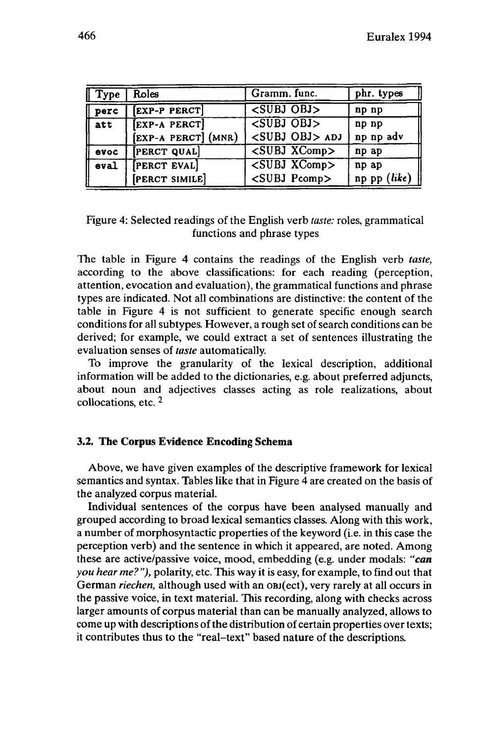| <b>Type</b> | Roles               | Gramm. func.                   | phr. types     |
|-------------|---------------------|--------------------------------|----------------|
| perc        | <b>EXP-P PERCT</b>  | $\overline{\text{SUBJ OBJ}}$   | np np          |
| att         | [EXP-A PERCT]       | $\leq$ SUBJ OBJ>               | np np          |
|             | [EXP-A PERCT] (MNR) | <subj obj=""> ADJ</subj>       | np np adv      |
| evoc        | <b>PERCT QUAL</b>   | $\overline{\text{SUBJ XComp}}$ | np ap          |
| eval        | <b>PERCT EVAL</b>   | $\overline{\text{SUBJ XComp}}$ | np ap          |
|             | [PERCT SIMILE]      | <subj pcomp=""></subj>         | $np$ pp (like) |

Figure 4: Selected readings of the English verb *taste:* roles, grammatical functions and phrase types

The table in Figure 4 contains the readings of the English verb *taste,* according to the above classifications: for each reading (perception, attention, evocation and evaluation), the grammatical functions and phrase types are indicated. Not all combinations are distinctive: the content of the table in Figure 4 is not sufficient to generate specific enough search conditions for all subtypes. However, a rough set of search conditions can be derived; for example, we could extract a set of sentences illustrating the evaluation senses of *taste* automatically.

To improve the granularity of the lexical description, additional information will be added to the dictionaries, e.g. about preferred adjuncts, about noun and adjectives classes acting as role realizations, about collocations, etc. <sup>2</sup>

### **3.2. The Corpus Evidence Encoding Schema**

Above, we have given examples of the descriptive framework for lexical semantics and syntax. Tables like that in Figure 4 are created on the basis of the analyzed corpus material.

Individual sentences of the corpus have been analysed manually and grouped according to broad lexical semantics classes. Along with this work, a number of morphosyntactic properties ofthe keyword (i.e. in this case the perception verb) and the sentence in which it appeared, are noted. Among these are active/passive voice, mood, embedding (e.g. under modals: *"can you hear me?"),* polarity, etc. This way it is easy, for example, to find out that German *riechen,* although used with an OBj(ect), very rarely at all occurs in the passive voice, in text material. This recording, along with checks across larger amounts of corpus material than can be manually analyzed, allows to come up with descriptions of the distribution of certain properties over texts; it contributes thus to the "real-text" based nature of the descriptions.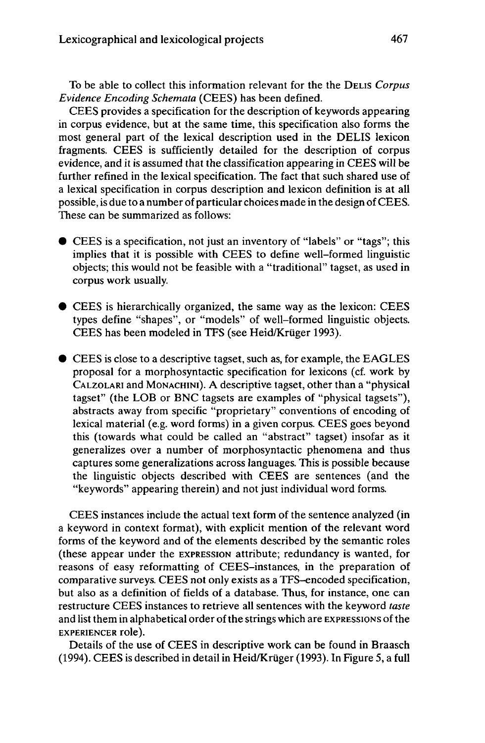To be able to collect this information relevant for the the DELIS *Corpus Evidence Encoding Schemata* (CEES) has been defined.

CEES provides a specification for the description of keywords appearing in corpus evidence, but at the same time, this specification also forms the most general part of the lexical description used in the DELIS lexicon fragments. CEES is sufficiently detailed for the description of corpus evidence, and it is assumed that the classification appearing in CEES will be further refined in the lexical specification. The fact that such shared use of a lexical specification in corpus description and lexicon definition is at all possible, is due to a number of particular choices made in the design ofCEES. These can be summarized as follows:

- CEES is <sup>a</sup> specification, not just an inventory of "labels" or "tags"; this implies that it is possible with CEES to define well-formed linguistic objects; this would not be feasible with a "traditional" tagset, as used in corpus work usually.
- CEES is hierarchically organized, the same way as the lexicon: CEES types define "shapes", or "models" of well-formed linguistic objects. CEES has been modeled in TFS (see Heid/Krüger 1993).
- CEES is close to a descriptive tagset, such as, for example, the EAGLES proposal for a morphosyntactic specification for lexicons (cf. work by CALZOLARI and MONACHINI). A descriptive tagset, other than a "physical tagset" (the LOB or BNC tagsets are examples of "physical tagsets"), abstracts away from specific "proprietary" conventions of encoding of lexical material (e.g. word forms) in a given corpus. CEES goes beyond this (towards what could be called an "abstract" tagset) insofar as it generalizes over a number of morphosyntactic phenomena and thus captures some generalizations across languages. This is possible because the linguistic objects described with CEES are sentences (and the "keywords" appearing therein) and not just individual word forms.

CEES instances include the actual text form of the sentence analyzed (in a keyword in context format), with explicit mention of the relevant word forms of the keyword and of the elements described by the semantic roles (these appear under the EXPRESSION attribute; redundancy is wanted, for reasons of easy reformatting of CEES-instances, in the preparation of comparative surveys. CEES not only exists as a TFS-encoded specification, but also as a definition of fields of a database. Thus, for instance, one can restructure CEES instances to retrieve all sentences with the keyword *taste* and list them in alphabetical order of the strings which are EXPRESSIONS of the **EXPERIENCER role).**

Details of the use of CEES in descriptive work can be found in Braasch (1994). CEES is described in detail in Heid/Krüger (1993). In Figure 5, a full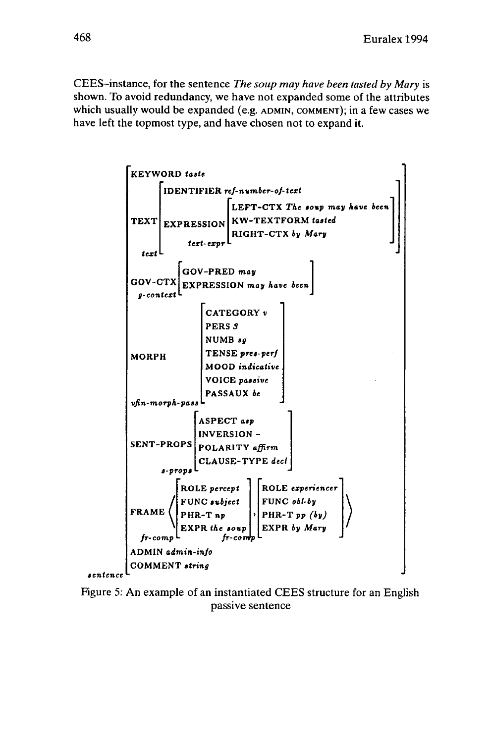CEES-instance, for the sentence *The soup may have been tasted by Mary* is shown. To avoid redundancy, we have not expanded some of the attributes which usually would be expanded (e.g. ADMIN, COMMENT); in a few cases we have left the topmost type, and have chosen not to expand it.



Figure 5: An example of an instantiated CEES structure for an English passive sentence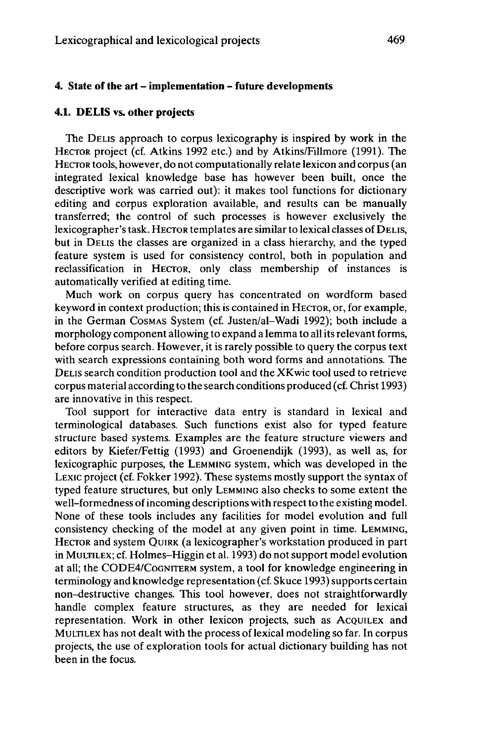# **4. State of the art** - **implementation - future developments**

# **4.1. DELIS vs. other projects**

The DELIS approach to corpus lexicography is inspired by work in the HECTOR project (cf. Atkins 1992 etc.) and by Atkins/Fillmore (1991). The HECTOR tools, however, do not computationally relate lexicon and corpus (an integrated lexical knowledge base has however been built, once the descriptive work was carried out): it makes tool functions for dictionary editing and corpus exploration available, and results can be manually transferred; the control of such processes is however exclusively the lexicographer'stask. HECTOR templates are similar to lexical classes of DELIS, but in DELIS the classes are organized in a class hierarchy, and the typed feature system is used for consistency control, both in population and reclassification in HECTOR, only class membership of instances is automatically verified at editing time.

Much work on corpus query has concentrated on wordform based keyword in context production; this is contained in HECTOR, or, for example, in the German COSMAS System (cf. Justen/al-Wadi 1992); both include a morphology component allowing to expand a lemma to all its relevant forms, before corpus search. However, it is rarely possible to query the corpus text with search expressions containing both word forms and annotations. The DELIS search condition production tool and the XKwic tool used to retrieve corpus material according to the search conditions produced (cf. Christ 1993) are innovative in this respect.

Tool support for interactive data entry is standard in lexical and terminological databases. Such functions exist also for typed feature structure based systems. Examples are the feature structure viewers and editors by Kiefer/Fettig (1993) and Groenendijk (1993), as well as, for lexicographic purposes, the LEMMING system, which was developed in the LEXIC project (cf. Fokker 1992). These systems mostly support the syntax of typed feature structures, but only LEMMING also checks to some extent the well-formedness of incoming descriptions with respect to the existing model. None of these tools includes any facilities for model evolution and full consistency checking of the model at any given point in time. LEMMING, HECTOR and system QUIRK (a lexicographer's workstation produced in part in MULTILEX; cf. Holmes-Higgin et al. 1993) do not support model evolution at all; the CODE4/COGNITERM system, a tool for knowledge engineering in terminology and knowledge representation (cf. Skuce 1993) supports certain non-destructive changes. This tool however, does not straightforwardly handle complex feature structures, as they are needed for lexical representation. Work in other lexicon projects, such as ACQUILEX and MULTILEX has not dealt with the process of lexical modeling so far. In corpus projects, the use of exploration tools for actual dictionary building has not been in the focus.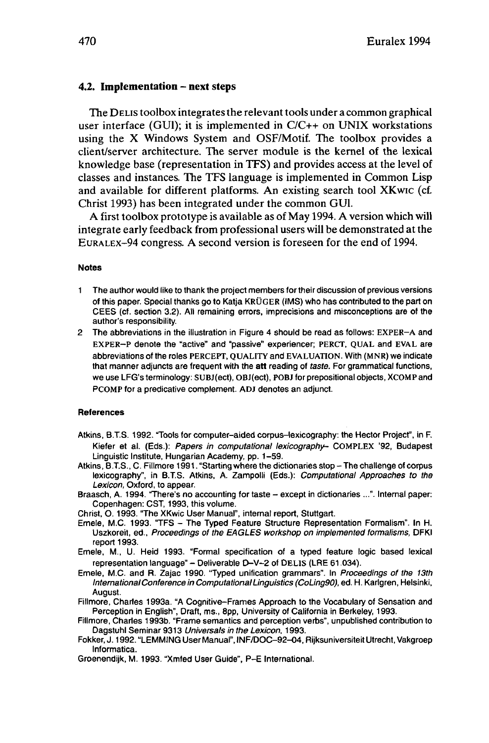#### **4.2. Implementation - next steps**

The DELIS toolbox integrates the relevant tools under a common graphical user interface (GUI); it is implemented in C/C++ on UNIX workstations using the X Windows System and OSF/Motif. The toolbox provides a client/server architecture. The server module is the kernel of the lexical knowledge base (representation in TFS) and provides access at the level of classes and instances. The TFS language is implemented in Common Lisp and available for different platforms. An existing search tool XKwic (cf. Christ 1993) has been integrated under the common GUI.

A first toolbox prototype is available as of May 1994. A version which will integrate early feedback from professional users will be demonstrated atthe EURALEX-94 congress. A second version is foreseen for the end of 1994.

#### **Notes**

- <sup>1</sup> The author would like to thank the project members for their discussion of previous versions of this paper. Special thanks go to Katja KRÜGER (IMS) who has contributed to the part on CEES (cf. section 3.2). All remaining errors, imprecisions and misconceptions are of the author's responsibility.
- 2 The abbreviations in the illustration in Figure 4 should be read as follows: EXPER-A and EXPER-P denote the "active" and "passive" experiencer; PERCT, QUAL and EVAL are abbreviations of the roles PERCEPT, QUALITY and EVALUATION. With (MNR) we indicate that manner adjuncts are frequent with the **att** reading of taste. For grammatical functions, we use LFG's terminology: SUBJ(ect), OBJ(ect), POBJ for prepositional objects, XCOMP and PCOMP for a predicative complement. ADJ denotes an adjunct.

#### **References**

- Atkins, B.T.S. 1992. "Tools for computer-aided corpus-lexicography: the Hector Project", in F. Kiefer et al. (Eds.): Papers in computational lexicography- COMPLEX '92, Budapest Linguistic Institute, Hungarian Academy, pp. 1-59.
- Atkins, B.T.S., C. Fillmore 1991. "Starting where the dictionaries stop The challenge of corpus lexicography", in B.T.S. Atkins, A. Zampolli (Eds.): Computational Approaches to the Lexicon, Oxford, to appear.
- Braasch, A. 1994. "There's no accounting for taste except in dictionaries ...". Internal paper: Copenhagen: CST, 1993, this volume.
- Christ, 0.1993. "The XKwic User Manual", internal report, Stuttgart.
- Emele, M.C. 1993. "TFS The Typed Feature Structure Representation Formalism". In H. Uszkoreit, ed., Proceedings of the EAGLES workshop on implemented formalisms, DFKI report 1993.
- Emele, M., U. Heid 1993. "Formal specification of a typed feature logic based lexical representation language" - Deliverable D-V-2 of DELIS (LRE 61.034).
- Emele, M.C. and R. Zajac 1990. "Typed unification grammars". In Proceedings of the 13th InternationalConference in ComputationalLinguistics (CoLing90), ed. H. Karlgren, Helsinki, August.
- Fillmore, Charles 1993a. "A Cognitive-Frames Approach to the Vocabulary of Sensation and Perception in English", Draft, ms., 8pp, University of California in Berkeley, 1993.
- Fillmore, Charles 1993b. "Frame semantics and perception verbs", unpublished contribution to Dagstuhl Seminar 9313 Universals in the Lexicon, 1993.
- Fokker, J. 1992. "LEMMING User Manual", INF/DOC-92-04, Rijksuniversiteit Utrecht, Vakgroep Informatica.
- Groenendijk, M. 1993. "Xmfed User Guide", P-E International.